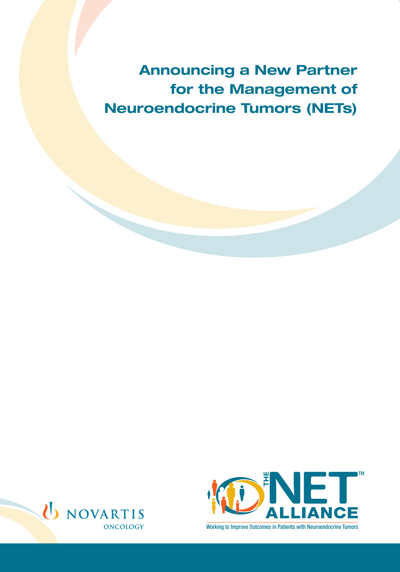Announcing a New Partner for the Management of Neuroendocrine Tumors (NETs)





Working to Improve Outcomes in Patients with Neuroendocrine Tumors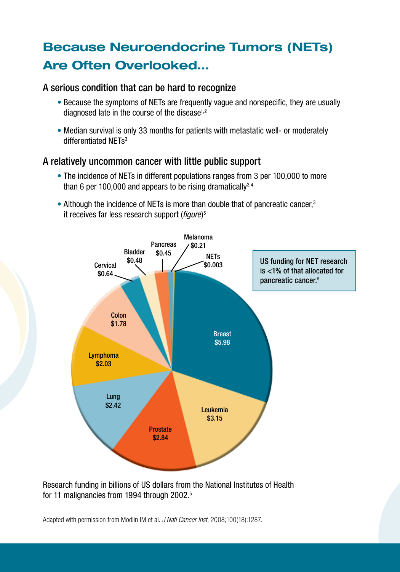# Because Neuroendocrine Tumors (NETs) Are Often Overlooked…

#### A serious condition that can be hard to recognize

- Because the symptoms of NETs are frequently vague and nonspecific, they are usually diagnosed late in the course of the disease $1,2$
- Median survival is only 33 months for patients with metastatic well- or moderately differentiated NETs<sup>3</sup>

#### A relatively uncommon cancer with little public support

- The incidence of NETs in different populations ranges from 3 per 100,000 to more than 6 per 100,000 and appears to be rising dramatically  $3,4$
- Although the incidence of NETs is more than double that of pancreatic cancer,<sup>3</sup> it receives far less research support (*figure*) 5



Research funding in billions of US dollars from the National Institutes of Health for 11 malignancies from 1994 through 2002.<sup>5</sup>

Adapted with permission from Modlin IM et al. *J Natl Cancer Inst.* 2008;100(18):1287.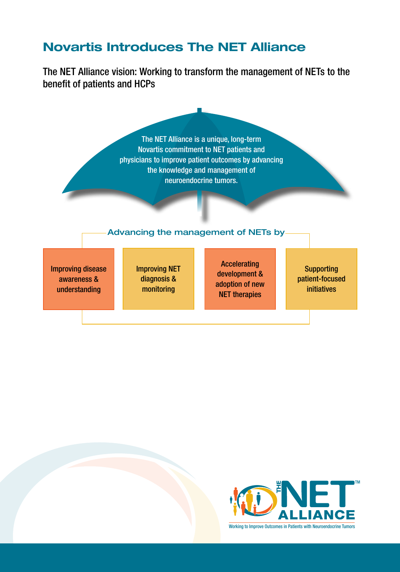### Novartis Introduces The NET Alliance

The NET Alliance vision: Working to transform the management of NETs to the benefit of patients and HCPs



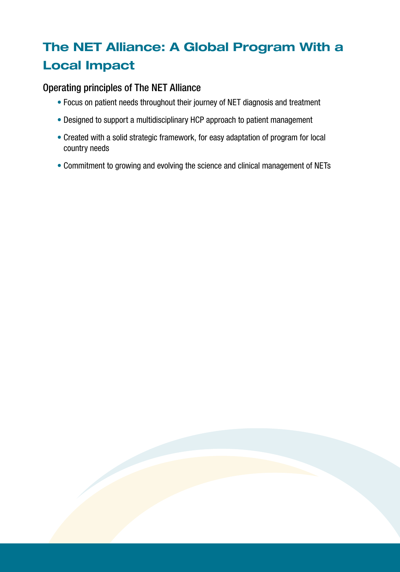# The NET Alliance: A Global Program With a Local Impact

#### Operating principles of The NET Alliance

- Focus on patient needs throughout their journey of NET diagnosis and treatment
- Designed to support a multidisciplinary HCP approach to patient management
- Created with a solid strategic framework, for easy adaptation of program for local country needs
- Commitment to growing and evolving the science and clinical management of NETs

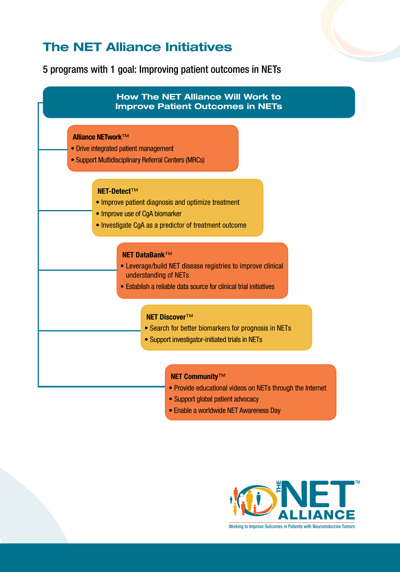### The NET Alliance Initiatives

5 programs with 1 goal: Improving patient outcomes in NETs



• Enable a worldwide NET Awareness Day

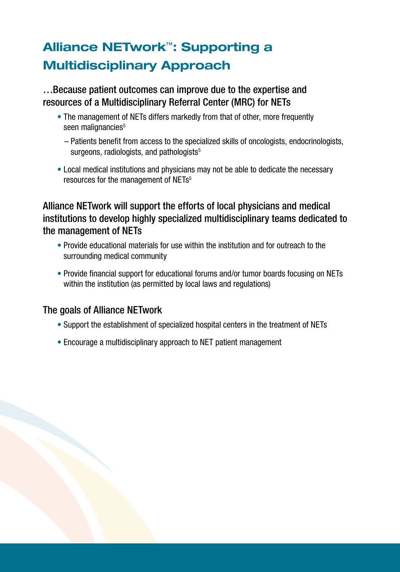# Alliance NETwork™: Supporting a Multidisciplinary Approach

…Because patient outcomes can improve due to the expertise and resources of a Multidisciplinary Referral Center (MRC) for NETs

- The management of NETs differs markedly from that of other, more frequently seen malignancies<sup>5</sup>
	- Patients benefit from access to the specialized skills of oncologists, endocrinologists, surgeons, radiologists, and pathologists $5$
- Local medical institutions and physicians may not be able to dedicate the necessary resources for the management of NETs<sup>5</sup>

#### Alliance NETwork will support the efforts of local physicians and medical institutions to develop highly specialized multidisciplinary teams dedicated to the management of NETs

- Provide educational materials for use within the institution and for outreach to the surrounding medical community
- Provide financial support for educational forums and/or tumor boards focusing on NETs within the institution (as permitted by local laws and regulations)

### The goals of Alliance NETwork

- Support the establishment of specialized hospital centers in the treatment of NETs
- Encourage a multidisciplinary approach to NET patient management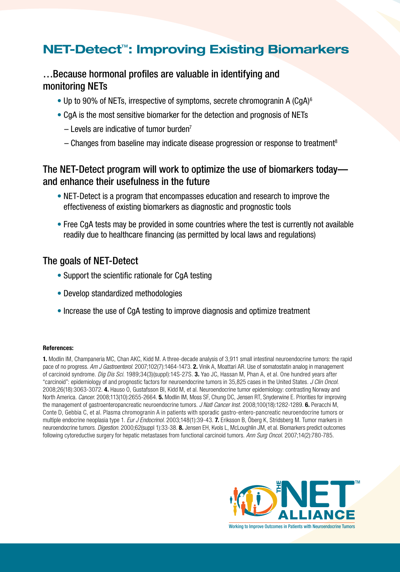### NET-Detect™: Improving Existing Biomarkers

#### …Because hormonal profiles are valuable in identifying and monitoring NETs

- Up to 90% of NETs, irrespective of symptoms, secrete chromogranin A  $(CqA)^6$
- CgA is the most sensitive biomarker for the detection and prognosis of NETs
	- $-$  Levels are indicative of tumor burden<sup>7</sup>
	- $-$  Changes from baseline may indicate disease progression or response to treatment<sup>8</sup>

#### The NET-Detect program will work to optimize the use of biomarkers today and enhance their usefulness in the future

- NET-Detect is a program that encompasses education and research to improve the effectiveness of existing biomarkers as diagnostic and prognostic tools
- Free CgA tests may be provided in some countries where the test is currently not available readily due to healthcare financing (as permitted by local laws and regulations)

#### The goals of NET-Detect

- Support the scientific rationale for CgA testing
- Develop standardized methodologies
- Increase the use of CgA testing to improve diagnosis and optimize treatment

#### References:

1. Modlin IM, Champaneria MC, Chan AKC, Kidd M. A three-decade analysis of 3,911 small intestinal neuroendocrine tumors: the rapid pace of no progress. *Am J Gastroenterol.* 2007;102(7):1464-1473. 2. Vinik A, Moattari AR. Use of somatostatin analog in management of carcinoid syndrome. *Dig Dis Sci.* 1989;34(3)(suppl):14S-27S. 3. Yao JC, Hassan M, Phan A, et al. One hundred years after "carcinoid": epidemiology of and prognostic factors for neuroendocrine tumors in 35,825 cases in the United States. *J Clin Oncol.* 2008;26(18):3063-3072. 4. Hauso O, Gustafsson BI, Kidd M, et al. Neuroendocrine tumor epidemiology: contrasting Norway and North America. *Cancer.* 2008;113(10):2655-2664. 5. Modlin IM, Moss SF, Chung DC, Jensen RT, Snyderwine E. Priorities for improving the management of gastroenteropancreatic neuroendocrine tumors. *J Natl Cancer Inst.* 2008;100(18):1282-1289. 6. Peracchi M, Conte D, Gebbia C, et al. Plasma chromogranin A in patients with sporadic gastro-entero-pancreatic neuroendocrine tumors or multiple endocrine neoplasia type 1. *Eur J Endocrinol.* 2003;148(1):39-43. 7. Eriksson B, Öberg K, Stridsberg M. Tumor markers in neuroendocrine tumors. *Digestion.* 2000;62(suppl 1):33-38. 8. Jensen EH, Kvols L, McLoughlin JM, et al. Biomarkers predict outcomes following cytoreductive surgery for hepatic metastases from functional carcinoid tumors. *Ann Surg Oncol.* 2007;14(2):780-785.